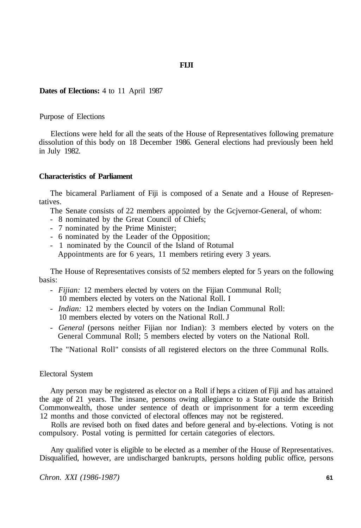# **FIJI**

# **Dates of Elections:** 4 to 11 April 1987

# Purpose of Elections

Elections were held for all the seats of the House of Representatives following premature dissolution of this body on 18 December 1986. General elections had previously been held in July 1982.

### **Characteristics of Parliament**

The bicameral Parliament of Fiji is composed of a Senate and a House of Representatives.

The Senate consists of 22 members appointed by the Gcjvernor-General, of whom:

- 8 nominated by the Great Council of Chiefs;
- 7 nominated by the Prime Minister;
- 6 nominated by the Leader of the Opposition;
- 1 nominated by the Council of the Island of Rotumal

Appointments are for 6 years, 11 members retiring every 3 years.

The House of Representatives consists of 52 members elepted for 5 years on the following basis:

- - *Fijian:* 12 members elected by voters on the Fijian Communal Roll; 10 members elected by voters on the National Roll. I
- - *Indian:* 12 members elected by voters on the Indian Communal Roll: 10 members elected by voters on the National Roll. J
- - *General* (persons neither Fijian nor Indian): 3 members elected by voters on the General Communal Roll; 5 members elected by voters on the National Roll.

The "National Roll" consists of all registered electors on the three Communal Rolls.

#### Electoral System

Any person may be registered as elector on a Roll if heps a citizen of Fiji and has attained the age of 21 years. The insane, persons owing allegiance to a State outside the British Commonwealth, those under sentence of death or imprisonment for a term exceeding 12 months and those convicted of electoral offences may not be registered.

Rolls are revised both on fixed dates and before general and by-elections. Voting is not compulsory. Postal voting is permitted for certain categories of electors.

Any qualified voter is eligible to be elected as a member of the House of Representatives. Disqualified, however, are undischarged bankrupts, persons holding public office, persons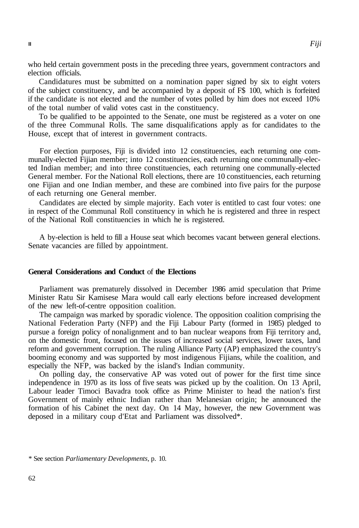who held certain government posts in the preceding three years, government contractors and election officials.

Candidatures must be submitted on a nomination paper signed by six to eight voters of the subject constituency, and be accompanied by a deposit of F\$ 100, which is forfeited if the candidate is not elected and the number of votes polled by him does not exceed 10% of the total number of valid votes cast in the constituency.

To be qualified to be appointed to the Senate, one must be registered as a voter on one of the three Communal Rolls. The same disqualifications apply as for candidates to the House, except that of interest in government contracts.

For election purposes, Fiji is divided into 12 constituencies, each returning one communally-elected Fijian member; into 12 constituencies, each returning one communally-elected Indian member; and into three constituencies, each returning one communally-elected General member. For the National Roll elections, there are 10 constituencies, each returning one Fijian and one Indian member, and these are combined into five pairs for the purpose of each returning one General member.

Candidates are elected by simple majority. Each voter is entitled to cast four votes: one in respect of the Communal Roll constituency in which he is registered and three in respect of the National Roll constituencies in which he is registered.

A by-election is held to fill a House seat which becomes vacant between general elections. Senate vacancies are filled by appointment.

### **General Considerations and Conduct** of **the Elections**

Parliament was prematurely dissolved in December 1986 amid speculation that Prime Minister Ratu Sir Kamisese Mara would call early elections before increased development of the new left-of-centre opposition coalition.

The campaign was marked by sporadic violence. The opposition coalition comprising the National Federation Party (NFP) and the Fiji Labour Party (formed in 1985) pledged to pursue a foreign policy of nonalignment and to ban nuclear weapons from Fiji territory and, on the domestic front, focused on the issues of increased social services, lower taxes, land reform and government corruption. The ruling Alliance Party (AP) emphasized the country's booming economy and was supported by most indigenous Fijians, while the coalition, and especially the NFP, was backed by the island's Indian community.

On polling day, the conservative AP was voted out of power for the first time since independence in 1970 as its loss of five seats was picked up by the coalition. On 13 April, Labour leader Timoci Bavadra took office as Prime Minister to head the nation's first Government of mainly ethnic Indian rather than Melanesian origin; he announced the formation of his Cabinet the next day. On 14 May, however, the new Government was deposed in a military coup d'Etat and Parliament was dissolved\*.

<sup>\*</sup> See section *Parliamentary Developments,* p. 10.